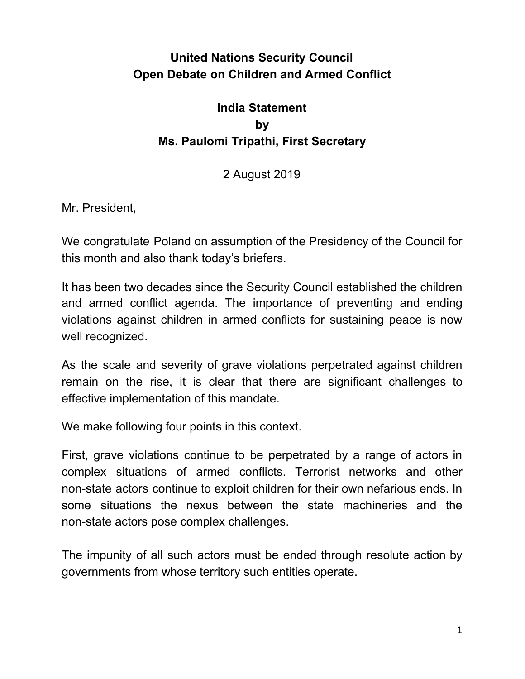## **United Nations Security Council Open Debate on Children and Armed Conflict**

## **India Statement by Ms. Paulomi Tripathi, First Secretary**

## 2 August 2019

Mr. President,

We congratulate Poland on assumption of the Presidency of the Council for this month and also thank today's briefers.

It has been two decades since the Security Council established the children and armed conflict agenda. The importance of preventing and ending violations against children in armed conflicts for sustaining peace is now well recognized.

As the scale and severity of grave violations perpetrated against children remain on the rise, it is clear that there are significant challenges to effective implementation of this mandate.

We make following four points in this context.

First, grave violations continue to be perpetrated by a range of actors in complex situations of armed conflicts. Terrorist networks and other non-state actors continue to exploit children for their own nefarious ends. In some situations the nexus between the state machineries and the non-state actors pose complex challenges.

The impunity of all such actors must be ended through resolute action by governments from whose territory such entities operate.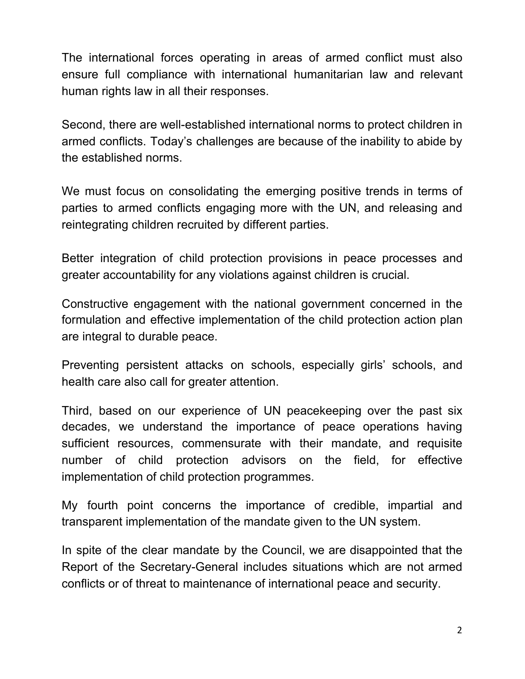The international forces operating in areas of armed conflict must also ensure full compliance with international humanitarian law and relevant human rights law in all their responses.

Second, there are well-established international norms to protect children in armed conflicts. Today's challenges are because of the inability to abide by the established norms.

We must focus on consolidating the emerging positive trends in terms of parties to armed conflicts engaging more with the UN, and releasing and reintegrating children recruited by different parties.

Better integration of child protection provisions in peace processes and greater accountability for any violations against children is crucial.

Constructive engagement with the national government concerned in the formulation and effective implementation of the child protection action plan are integral to durable peace.

Preventing persistent attacks on schools, especially girls' schools, and health care also call for greater attention.

Third, based on our experience of UN peacekeeping over the past six decades, we understand the importance of peace operations having sufficient resources, commensurate with their mandate, and requisite number of child protection advisors on the field, for effective implementation of child protection programmes.

My fourth point concerns the importance of credible, impartial and transparent implementation of the mandate given to the UN system.

In spite of the clear mandate by the Council, we are disappointed that the Report of the Secretary-General includes situations which are not armed conflicts or of threat to maintenance of international peace and security.